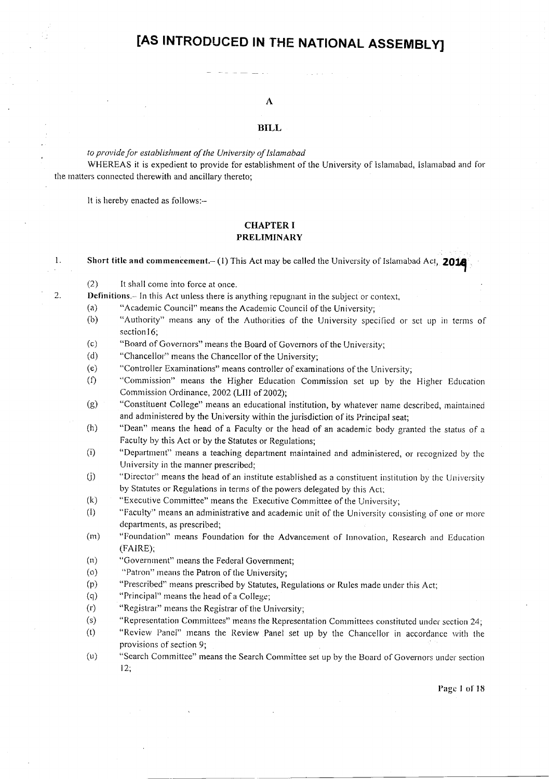# [AS INTRODUCED IN THE NATIONAL ASSEMBLY]

## A

#### **BILL**

#### to provide for establishment of the University of Islamabad

WHEREAS it is expedient to provide for establishment of the University of Islamabad, Islamabad and for the matters connected therewith and ancillary thereto;

It is hereby enacted as follows:-

 $\mathbf{1}$ .

2.

## **CHAPTER I PRELIMINARY**

Short title and commencement.  $(1)$  This Act may be called the University of Islamabad Act, 2014

 $(2)$ It shall come into force at once.

**Definitions**. In this Act unless there is anything repugnant in the subject or context,

- $(a)$ "Academic Council" means the Academic Council of the University;
- $(b)$ "Authority" means any of the Authorities of the University specified or set up in terms of section 16;
- "Board of Governors" means the Board of Governors of the University;  $(c)$
- $(d)$ "Chancellor" means the Chancellor of the University;
- $(e)$ "Controller Examinations" means controller of examinations of the University;
- $(f)$ "Commission" means the Higher Education Commission set up by the Higher Education Commission Ordinance, 2002 (LIII of 2002);
- $(g)$ "Constituent College" means an educational institution, by whatever name described, maintained and administered by the University within the jurisdiction of its Principal seat;
- $(h)$ "Dean" means the head of a Faculty or the head of an academic body granted the status of a Faculty by this Act or by the Statutes or Regulations;
- $(i)$ "Department" means a teaching department maintained and administered, or recognized by the University in the manner prescribed;
- $(j)$ "Director" means the head of an institute established as a constituent institution by the University by Statutes or Regulations in terms of the powers delegated by this Act;
- "Executive Committee" means the Executive Committee of the University;  $(k)$
- $(1)$ "Faculty" means an administrative and academic unit of the University consisting of one or more departments, as prescribed;
- "Foundation" means Foundation for the Advancement of Innovation, Research and Education  $(m)$ (FAIRE):
- $(n)$ "Government" means the Federal Government;
- $(0)$ "Patron" means the Patron of the University;
- "Prescribed" means prescribed by Statutes, Regulations or Rules made under this Act;  $(p)$
- $(q)$ "Principal" means the head of a College;
- $(r)$ "Registrar" means the Registrar of the University;
- $(s)$ "Representation Committees" means the Representation Committees constituted under section 24;
- $(t)$ "Review Panel" means the Review Panel set up by the Chancellor in accordance with the provisions of section 9:
- $(u)$ "Search Committee" means the Search Committee set up by the Board of Governors under section  $12:$

Page 1 of 18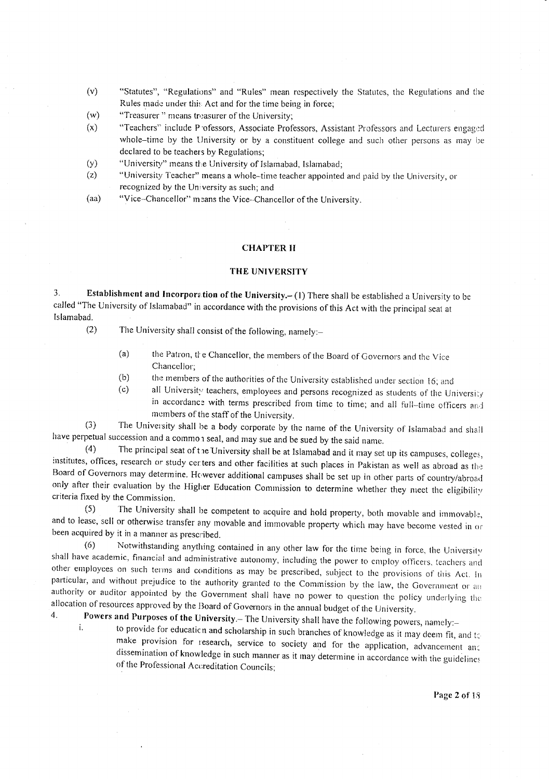- $(v)$ "Statutes", "Regulations" and "Rules" mean respectively the Statutes, the Regulations and the Rules made under this Act and for the time being in force;
- $(w)$ "Treasurer" means treasurer of the University;
- $(x)$ "Teachers" include P ofessors, Associate Professors, Assistant Professors and Lecturers engaged whole–time by the University or by a constituent college and such other persons as may be declared to be teachers by Regulations;
- "University" means the University of Islamabad, Islamabad;  $(y)$
- $(z)$ "University Teacher" means a whole-time teacher appointed and paid by the University, or recognized by the University as such; and
- "Vice-Chancellor" means the Vice-Chancellor of the University.  $(aa)$

## **CHAPTER II**

#### THE UNIVERSITY

 $3.$ Establishment and Incorporation of the University.- (1) There shall be established a University to be called "The University of Islamabad" in accordance with the provisions of this Act with the principal seat at Islamabad.

The University shall consist of the following, namely:- $(2)$ 

- $(a)$ the Patron, the Chancellor, the members of the Board of Governors and the Vice Chancellor;
- $(b)$ the members of the authorities of the University established under section 16; and
- $(c)$ all University teachers, employees and persons recognized as students of the University in accordance with terms prescribed from time to time; and all full-time officers and members of the staff of the University.

The University shall be a body corporate by the name of the University of Islamabad and shall  $(3)$ have perpetual succession and a common seal, and may sue and be sued by the said name.

The principal seat of the University shall be at Islamabad and it may set up its campuses, colleges,  $(4)$ institutes, offices, research or study certers and other facilities at such places in Pakistan as well as abroad as the Board of Governors may determine. However additional campuses shall be set up in other parts of country/abroad only after their evaluation by the Higher Education Commission to determine whether they meet the eligibility criteria fixed by the Commission.

The University shall be competent to acquire and hold property, both movable and immovable,  $(5)$ and to lease, sell or otherwise transfer any movable and immovable property which may have become vested in or been acquired by it in a manner as prescribed.

Notwithstanding anything contained in any other law for the time being in force, the University  $(6)$ shall have academic, financial and administrative autonomy, including the power to employ officers, teachers and other employees on such terms and conditions as may be prescribed, subject to the provisions of this Act. In particular, and without prejudice to the authority granted to the Commission by the law, the Government or an authority or auditor appointed by the Government shall have no power to question the policy underlying the allocation of resources approved by the Board of Governors in the annual budget of the University.  $\mathbf{4}$ 

## Powers and Purposes of the University.- The University shall have the following powers, namely:i.

to provide for education and scholarship in such branches of knowledge as it may deem fit, and to make provision for research, service to society and for the application, advancement and dissemination of knowledge in such manner as it may determine in accordance with the guidelines of the Professional Accreditation Councils;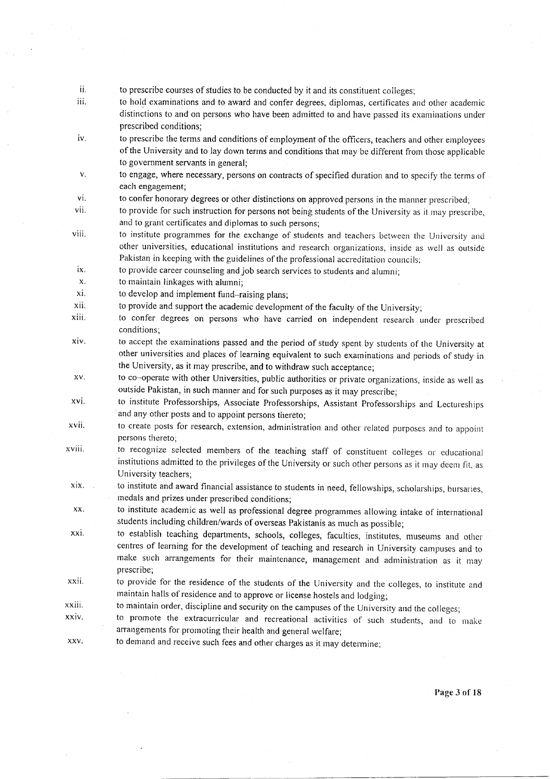- ii. to prescribe courses of studies to be conducted by it and its constituent colleges;
- iii. to hold examinations and to award and confer degrees, diplomas, certificates and other academic distinctions to and on persons who have been admitted to and have passed its examinations under prescribed conditions;
- iv. to prescribe the terms and conditions of employment of the officers, teachers and other employees of the University and to lay down terms and conditions that may be different from those applicable to government servants in general;
- to engage, where necessary, persons on contracts of specified duration and to specify the terms of  $\mathbf{v}$ . each engagement;
- vl. to confer honorary degrees or other distinctions on approved persons in the manner prescribed;
- vii. to provide for such instruction for persons not being students of the University as it may prescribe, and to grant certificates and diplomas to such persons;
- to institute programmes for the exchange of students and teachers between the University and other universities, educational institutions and research organizations, inside as well as outside Pakistan in keeping with the guidelines of the professional accreditation councils; viii.
- to provide career counseling and job search services to students and alumni; ix.
- to maintain linkages with alumni; x
- to develop and implement fund-raising plans; xi
- to provide and support the academic development of the faculty of the University; xii
- to confer degrees on persons who have carried on independent research under prescribed conditions; xiii
- to accept the examinations passed and the period of study spent by students of the University at other universities and places of learning equivalent to such examinations and periods of study in the University, as it may prescribe, and to withdraw such acceptance; xiv.
- to co-operate with other Universities, public authorities or private organizations, inside as well as outside Pakistan, in such manner and for such purposes as it may prescribe; xv.
- to institute Professorships, Associate Professorships, Assistant Professorships and Lectureships and any other posts and to appoint persons thereto; xvi.
- to create posts for research, extension, administration and other related purposes and to appoint persons thereto; xvii.
- to recognize selected members of the teaching staff of constituent colleges or educational institutions admitted to the privileges of the University or such other persons as it may deem fit, as University teachers, xviii.
- to institute and award financial assistance to students in need, fellowships, scholarships, bursaries, medals and prizes under prescribed conditions; xix.
- to institute academic as well as professional degree programmes allowing intake of international students including children/wards of overseas Pakistanis as much as possible; xx.
- to establish teaching departments, schools, colleges, faculties, institutes, museums and other centres of learning for the development of teaching and research in University campuses and to make such arrangements for their maintenance, management and administration as it may prescribe; xxi.
- to provide for the residence of the students of the University and the colleges, to institute and maintain halls of residence and to approve or license hostels and lodging; xxii.
- to maintain order, discipline and security on the campuses of the University and the colleges; xxiii.
- to promote the extracurricular and recreational activities of such students, and to make arrangements for promoting their health and general welfare; xxiv
- to demand and receive such fees and other charges as it may determine; xxv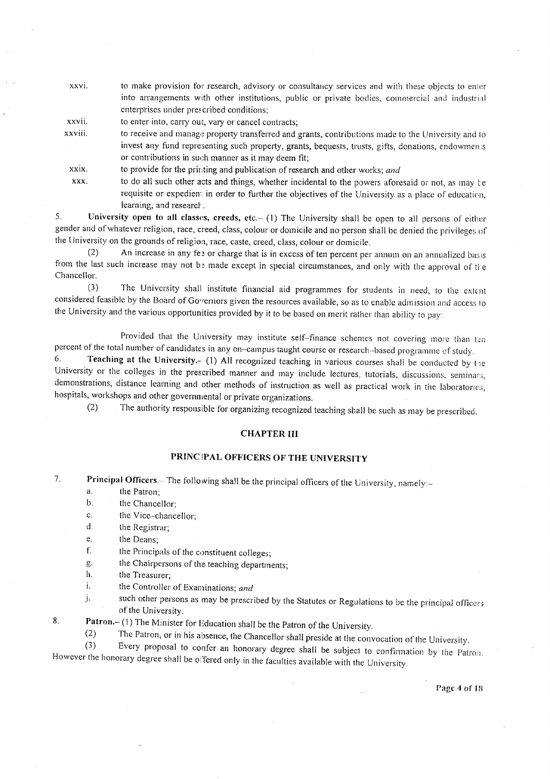xxvi. to make provision for research, advisory or consultancy services and with these objects to enter into arrangements with other institutions, public or private bodies, commercial and industrial enterprises under prescribed conditions;

xxvii. to enter into, carry out, vary or cancel contracts;

xxviii. to receive and manage property transferred and grants, contributions made to the University and to invest any fund representing such property, grants, bequests, trusts, gifts, donations, endowmen:s or contributions in such manner as it may deem fit;

xxix. to provide for the printing and publication of research and other works; and

XXX. to do all such other acts and things, whether incidental to the powers aforesaid or not, as may be requisite or expedient in order to further the objectives of the University as a place of education, learning, and research.

5. University open to all classes, creeds, etc.- (1) The University shall be open to all persons of either gender and of whatever religion, race, creed, class, colour or domicile and no person shall be denied the privileges of the University on the grounds of religion, race, caste, creed, class, colour or domicile.

An increase in any fee or charge that is in excess of ten percent per annum on an annualized basis  $(2)$ from the last such increase may not be made except in special circumstances, and only with the approval of the Chancellor.

The University shall institute financial aid programmes for students in need, to the extent  $(3)$ considered feasible by the Board of Governors given the resources available, so as to enable admission and access to the University and the various opportunities provided by it to be based on merit rather than ability to pay:

Provided that the University may institute self-finance schemes not covering more than ten percent of the total number of candidates in any on-campus taught course or research-based programme of study.

Teaching at the University.- (1) All recognized teaching in various courses shall be conducted by the 6. University or the colleges in the prescribed manner and may include lectures, tutorials, discussions, seminars, demonstrations, distance learning and other methods of instruction as well as practical work in the laboratories, hospitals, workshops and other governmental or private organizations.

The authority responsible for organizing recognized teaching shall be such as may be prescribed.  $(2)$ 

#### **CHAPTER III**

# PRINCIPAL OFFICERS OF THE UNIVERSITY

 $\overline{7}$ . Principal Officers.-- The following shall be the principal officers of the University, namely:-

- $\overline{a}$ . the Patron:
- $\mathbf b$ . the Chancellor;
- the Vice-chancellor;  $\mathbf{c}$ .
- $\mathsf{d}$ the Registrar;
- e. the Deans;
- f. the Principals of the constituent colleges;
- the Chairpersons of the teaching departments; g.
- h. the Treasurer:
- $\mathbf{i}$ . the Controller of Examinations; and
- such other persons as may be prescribed by the Statutes or Regulations to be the principal officers Ť. of the University.
- Patron. (1) The Minister for Education shall be the Patron of the University. 8.
	- The Patron, or in his absence, the Chancellor shall preside at the convocation of the University.  $(2)$

 $(3)$ Every proposal to confer an honorary degree shall be subject to confirmation by the Patron. However the honorary degree shall be offered only in the faculties available with the University.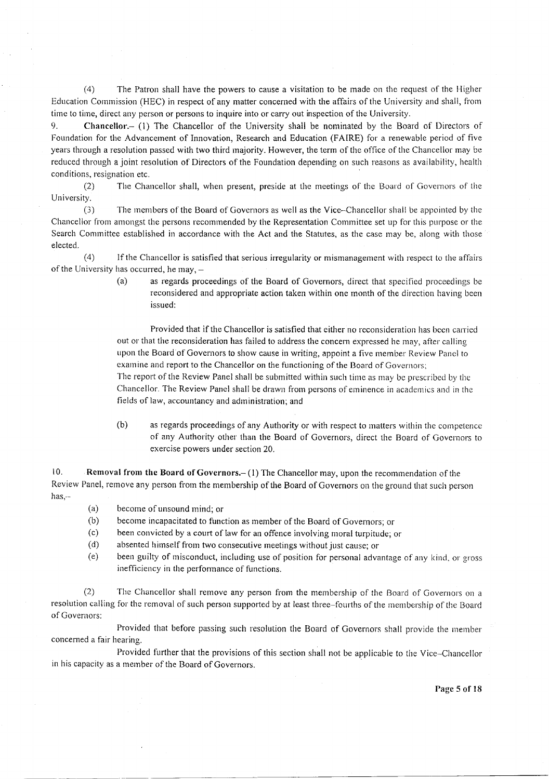(4) The Patron shall have the powers to cause a visitation to be made on the request of the Higher Education Commission (HEC) in respect of any matter concerned with the affairs of the University and shall, from time to time, direct any person or persons to inquire into or carry out inspection of the University.

9. Chancellor.- (1) The Chancellor of the University shall be nominated by the Board of Directors of Foundation for the Advancement of Innovation, Research and Education (FAIRE) for a renewable period of five years through a resolution passed with two third majority. However, the term of the office of the Chancellor may be reduced through a joint resolution of Directors of the Foundation depending on such reasons as availability, health conditions, resignation etc.

(2) The Chancellor shall, when present, preside at the meetings of the Board of Governors of the University.

(3) The members of the Board of Governors as well as the Vice-Chancellor shall be appointed by the Chancellor from amongst the persons recommended by the Representation Committee set up for this purpose or the Search Committee established in accordance with the Act and the Statutes, as the case may be, along with those elected.

(4) If the Chancellor is satisfied that serious irregularity or mismanagement with respect to the affairs of the University has occurred, he may,  $-$  (a) as regards pro

as regards proceedings of the Board of Governors, direct that specified proceedings be reconsidered and appropriate action taken within one month of the direction having been issued:

Provided that if the Chancellor is satisfied that either no reconsideration has been carried out or that the reconsideration has failed to address the concern expressed he may, after calling upon the Board of Governors to show cause in writing, appoint a five member Review Panel to examine and report to the Chancellor on the functioning of the Board of Governors; The report of the Review Panel shall be submitted within such time as may be prescribed by the Chancellor. The Review Panel shall be drawn from persons of eminence in academics and in the fields of law, accountancy and administration; and

(b) as regards proceedings of any Authority or with respect to matters within the competence of any Authority other than the Board of Governors, direct the Board of Governors to exercise powers under section 20.

10. Removal from the Board of Governors. $- (1)$  The Chancellor may, upon the recommendation of the Review Panel, remove any person from the membership of the Board of Governors on the ground that such person has,--

- (a) become of unsound mind; or
- (b) become incapacitated to function as member of the Board of Governors; or
- (c) been couvicted by a court of law for an offence involving moral turpitude; or
- (d) absented himself from two consecutive rneetings without just cause; or
- (e) been guilty of misconduct, including use of position for personal advantage of any kind, or gross inefficiency in the performance of functions.

(2) The Chancellor shall remove any person from the membership of the Board of Governors on a resolution calling for the removal of such person supported by at least three-fourths of the membership of the Board of Governors:

Provided that before passing such resolution the Board of Governors shall provide the member concerned a fair hearing.

Provided further that the provisions of this section shall not be applicable to the Vice-Chancellor in his capacity as a member of the Board of Governors.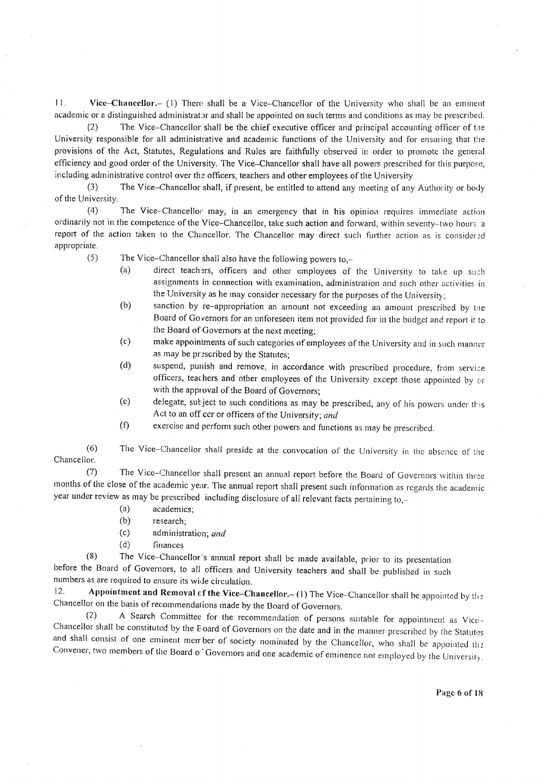$11.$ Vice-Chancellor.- (1) There shall be a Vice-Chancellor of the University who shall be an eminent academic or a distinguished administrator and shall be appointed on such terms and conditions as may be prescribed.

 $(2)$ The Vice–Chancellor shall be the chief executive officer and principal accounting officer of the University responsible for all administrative and academic functions of the University and for ensuring that the provisions of the Act, Statutes, Regulations and Rules are faithfully observed in order to promote the general efficiency and good order of the University. The Vice-Chancellor shall have all powers prescribed for this purpose, including administrative control over the officers, teachers and other employees of the University.

 $(3)$ The Vice-Chancellor shall, if present, be entitled to attend any meeting of any Authority or body of the University.

 $(4)$ The Vice-Chancellor may, in an emergency that in his opinion requires immediate action ordinarily not in the competence of the Vice-Chancellor, take such action and forward, within seventy-two hours, a report of the action taken to the Chancellor. The Chancellor may direct such further action as is considered appropriate.

 $(5)$ The Vice-Chancellor shall also have the following powers to,-

- $(a)$ direct teachers, officers and other employees of the University to take up such assignments in connection with examination, administration and such other activities in the University as he may consider necessary for the purposes of the University;
- $(b)$ sanction by re-appropriation an amount not exceeding an amount prescribed by the Board of Governors for an unforeseen item not provided for in the budget and report it to the Board of Governors at the next meeting;
- $(c)$ make appointments of such categories of employees of the University and in such manner as may be prescribed by the Statutes;
- $(d)$ suspend, punish and remove, in accordance with prescribed procedure, from service officers, teachers and other employees of the University except those appointed by or with the approval of the Board of Governors;
- delegate, subject to such conditions as may be prescribed, any of his powers under this  $(e)$ Act to an officer or officers of the University; and
- exercise and perform such other powers and functions as may be prescribed.  $(f)$

 $(6)$ The Vice-Chancellor shall preside at the convocation of the University in the absence of the Chancellor.

The Vice-Chancellor shall present an annual report before the Board of Governors within three  $(7)$ months of the close of the academic year. The annual report shall present such information as regards the academic year under review as may be prescribed including disclosure of all relevant facts pertaining to,-

- $(a)$ academics;
- $(b)$ research;
- $(c)$ administration; and
- $(d)$ finances

The Vice-Chancellor's annual report shall be made available, prior to its presentation  $(8)$ before the Board of Governors, to all officers and University teachers and shall be published in such numbers as are required to ensure its wide circulation.

Appointment and Removal of the Vice-Chancellor. $-(1)$  The Vice-Chancellor shall be appointed by the  $12.$ Chancellor on the basis of recommendations made by the Board of Governors.

A Search Committee for the recommendation of persons suitable for appointment as Vice-Chancellor shall be constituted by the E-oard of Governors on the date and in the manner prescribed by the Statutes and shall consist of one eminent member of society nominated by the Chancellor, who shall be appointed the Convener, two members of the Board of Governors and one academic of eminence not employed by the University.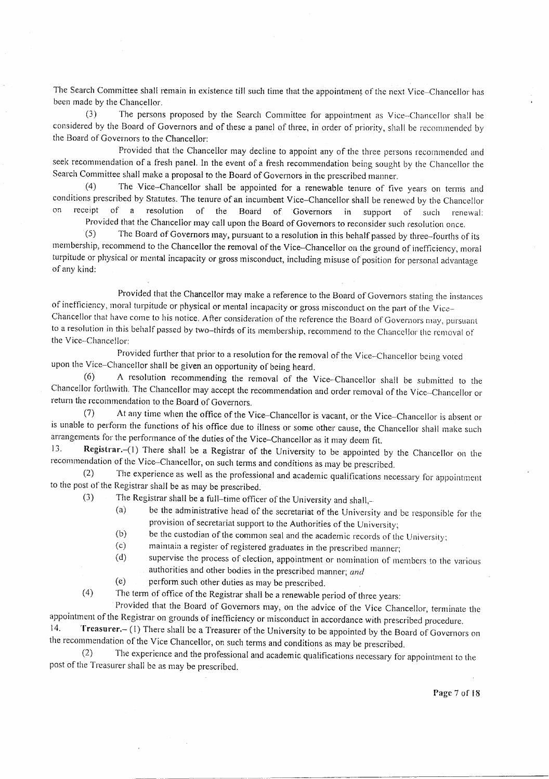The Search Committee shall remain in existence till such time that the appointment of the next Vice-Chancellor has been made by the Chancellor.

The persons proposed by the Search Committee for appointment as Vice-Chancellor shall be  $(3)$ considered by the Board of Governors and of these a panel of three, in order of priority, shall be recommended by the Board of Governors to the Chancellor:

Provided that the Chancellor may decline to appoint any of the three persons recommended and seek recommendation of a fresh panel. In the event of a fresh recommendation being sought by the Chancellor the Search Committee shall make a proposal to the Board of Governors in the prescribed manner.

 $(4)$ The Vice-Chancellor shall be appointed for a renewable tenure of five years on terms and conditions prescribed by Statutes. The tenure of an incumbent Vice-Chancellor shall be renewed by the Chancellor on receint  $\circ$  f a resolution of the Board of Governors in support of such renewal:

Provided that the Chancellor may call upon the Board of Governors to reconsider such resolution once. The Board of Governors may, pursuant to a resolution in this behalf passed by three-fourths of its  $(5)$ membership, recommend to the Chancellor the removal of the Vice-Chancellor on the ground of inefficiency, moral turpitude or physical or mental incapacity or gross misconduct, including misuse of position for personal advantage of any kind:

Provided that the Chancellor may make a reference to the Board of Governors stating the instances of inefficiency, moral turpitude or physical or mental incapacity or gross misconduct on the part of the Vice-Chancellor that have come to his notice. After consideration of the reference the Board of Governors may, pursuant to a resolution in this behalf passed by two-thirds of its membership, recommend to the Chancellor the removal of the Vice-Chancellor:

Provided further that prior to a resolution for the removal of the Vice-Chancellor being voted upon the Vice-Chancellor shall be given an opportunity of being heard.

A resolution recommending the removal of the Vice-Chancellor shall be submitted to the  $(6)$ Chancellor forthwith. The Chancellor may accept the recommendation and order removal of the Vice-Chancellor or return the recommendation to the Board of Governors.

At any time when the office of the Vice-Chancellor is vacant, or the Vice-Chancellor is absent or  $(7)$ is unable to perform the functions of his office due to illness or some other cause, the Chancellor shall make such arrangements for the performance of the duties of the Vice-Chancellor as it may deem fit.

Registrar.-(1) There shall be a Registrar of the University to be appointed by the Chancellor on the 13. recommendation of the Vice-Chancellor, on such terms and conditions as may be prescribed.

The experience as well as the professional and academic qualifications necessary for appointment  $(2)$ to the post of the Registrar shall be as may be prescribed.  $(3)$ 

The Registrar shall be a full-time officer of the University and shall,-

- be the administrative head of the secretariat of the University and be responsible for the  $(a)$ provision of secretariat support to the Authorities of the University;
- $(b)$ be the custodian of the common seal and the academic records of the University;
- $(c)$ maintain a register of registered graduates in the prescribed manner;

 $(d)$ supervise the process of election, appointment or nomination of members to the various authorities and other bodies in the prescribed manner; and

perform such other duties as may be prescribed.  $(e)$ 

 $(4)$ The term of office of the Registrar shall be a renewable period of three years:

Provided that the Board of Governors may, on the advice of the Vice Chancellor, terminate the appointment of the Registrar on grounds of inefficiency or misconduct in accordance with prescribed procedure.

Treasurer.- (1) There shall be a Treasurer of the University to be appointed by the Board of Governors on  $14.$ the recommendation of the Vice Chancellor, on such terms and conditions as may be prescribed.

 $(2)$ The experience and the professional and academic qualifications necessary for appointment to the post of the Treasurer shall be as may be prescribed.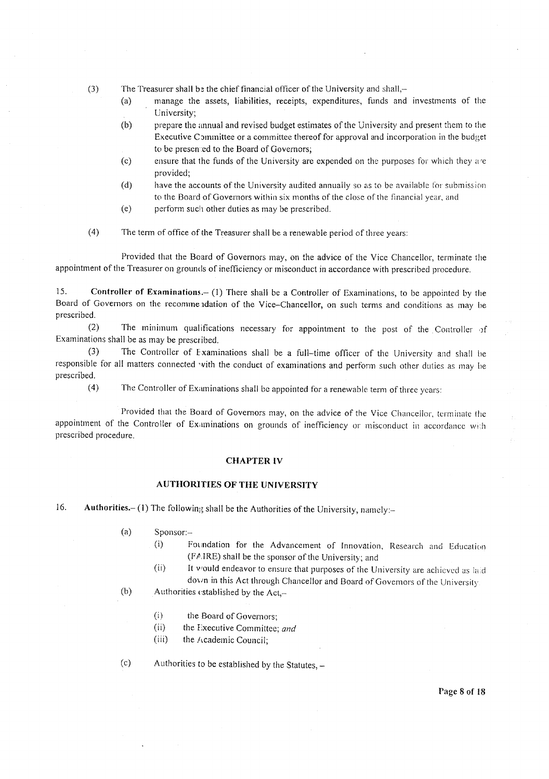- $(3)$ The Treasurer shall be the chief financial officer of the University and shall,
	- manage the assets, liabilities, receipts, expenditures, funds and investments of the  $(a)$ University;
	- $(b)$ prepare the annual and revised budget estimates of the University and present them to the Executive Committee or a committee thereof for approval and incorporation in the budget to be presented to the Board of Governors;
	- $(c)$ ensure that the funds of the University are expended on the purposes for which they are provided;
	- $(d)$ have the accounts of the University audited annually so as to be available for submission to the Board of Governors within six months of the close of the financial year, and
	- $(e)$ perform such other duties as may be prescribed.
- $(4)$ The term of office of the Treasurer shall be a renewable period of three years:

Provided that the Board of Governors may, on the advice of the Vice Chancellor, terminate the appointment of the Treasurer on grounds of inefficiency or misconduct in accordance with prescribed procedure.

15. Controller of Examinations.- (1) There shall be a Controller of Examinations, to be appointed by the Board of Governors on the recommendation of the Vice-Chancellor, on such terms and conditions as may be prescribed.

 $(2)$ The minimum qualifications necessary for appointment to the post of the Controller of Examinations shall be as may be prescribed.

 $(3)$ The Controller of Examinations shall be a full-time officer of the University and shall be responsible for all matters connected with the conduct of examinations and perform such other duties as may be prescribed.

The Controller of Examinations shall be appointed for a renewable term of three years:

Provided that the Board of Governors may, on the advice of the Vice Chancellor, terminate the appointment of the Controller of Examinations on grounds of inefficiency or misconduct in accordance with prescribed procedure.

#### **CHAPTER IV**

## **AUTHORITIES OF THE UNIVERSITY**

16. Authorities.- (1) The following shall be the Authorities of the University, namely:-

> $(a)$ Sponsor:-

 $(4)$ 

- $(i)$ Foundation for the Advancement of Innovation, Research and Education (FAIRE) shall be the sponsor of the University; and
- $(ii)$ It would endeavor to ensure that purposes of the University are achieved as laid down in this Act through Chancellor and Board of Governors of the University
- $(b)$ Authorities established by the Act,-
	- $(i)$ the Board of Governors:
	- $(ii)$ the Executive Committee; and
	- $(iii)$ the Academic Council;
- $(c)$ Authorities to be established by the Statutes, -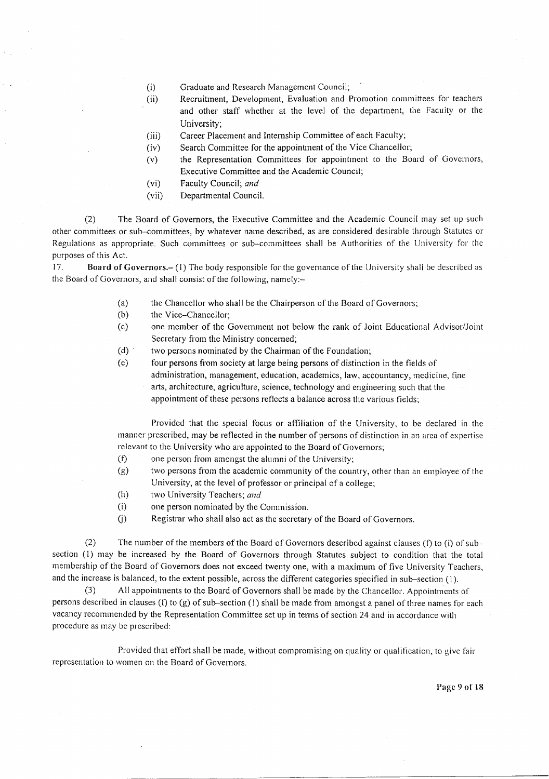- $(i)$ Graduate and Research Management Council;
- $(ii)$ Recruitment, Development, Evaluation and Promotion committees for teachers and other staff whether at the level of the department, the Faculty or the University:
- Career Placement and Internship Committee of each Faculty;  $(iii)$
- Search Committee for the appointment of the Vice Chancellor;  $(iv)$
- the Representation Committees for appointment to the Board of Governors,  $(v)$ Executive Committee and the Academic Council;
- $(vi)$ Faculty Council; and
- $(vii)$ Departmental Council.

 $(2)$ The Board of Governors, the Executive Committee and the Academic Council may set up such other committees or sub-committees, by whatever name described, as are considered desirable through Statutes or Regulations as appropriate. Such committees or sub-committees shall be Authorities of the University for the purposes of this Act.

17. **Board of Governors.** (1) The body responsible for the governance of the University shall be described as the Board of Governors, and shall consist of the following, namely:-

- $(a)$ the Chancellor who shall be the Chairperson of the Board of Governors;
- $(b)$ the Vice-Chancellor;
- $(c)$ one member of the Government not below the rank of Joint Educational Advisor/Joint Secretary from the Ministry concerned;
- $(d)$ two persons nominated by the Chairman of the Foundation;
- four persons from society at large being persons of distinction in the fields of  $(e)$ administration, management, education, academics, law, accountancy, medicine, fine arts, architecture, agriculture, science, technology and engineering such that the appointment of these persons reflects a balance across the various fields;

Provided that the special focus or affiliation of the University, to be declared in the manner prescribed, may be reflected in the number of persons of distinction in an area of expertise relevant to the University who are appointed to the Board of Governors;

- $(f)$ one person from amongst the alumni of the University;
- two persons from the academic community of the country, other than an employee of the  $(g)$ University, at the level of professor or principal of a college;
- $(h)$ two University Teachers; and
- $(i)$ one person nominated by the Commission.
- Registrar who shall also act as the secretary of the Board of Governors.  $(i)$

 $(2)$ The number of the members of the Board of Governors described against clauses (f) to (i) of subsection (1) may be increased by the Board of Governors through Statutes subject to condition that the total membership of the Board of Governors does not exceed twenty one, with a maximum of five University Teachers, and the increase is balanced, to the extent possible, across the different categories specified in sub-section (1).

All appointments to the Board of Governors shall be made by the Chancellor. Appointments of  $(3)$ persons described in clauses (f) to (g) of sub-section (1) shall be made from amongst a panel of three names for each vacancy recommended by the Representation Committee set up in terms of section 24 and in accordance with procedure as may be prescribed:

Provided that effort shall be made, without compromising on quality or qualification, to give fair representation to women on the Board of Governors.

Page 9 of 18